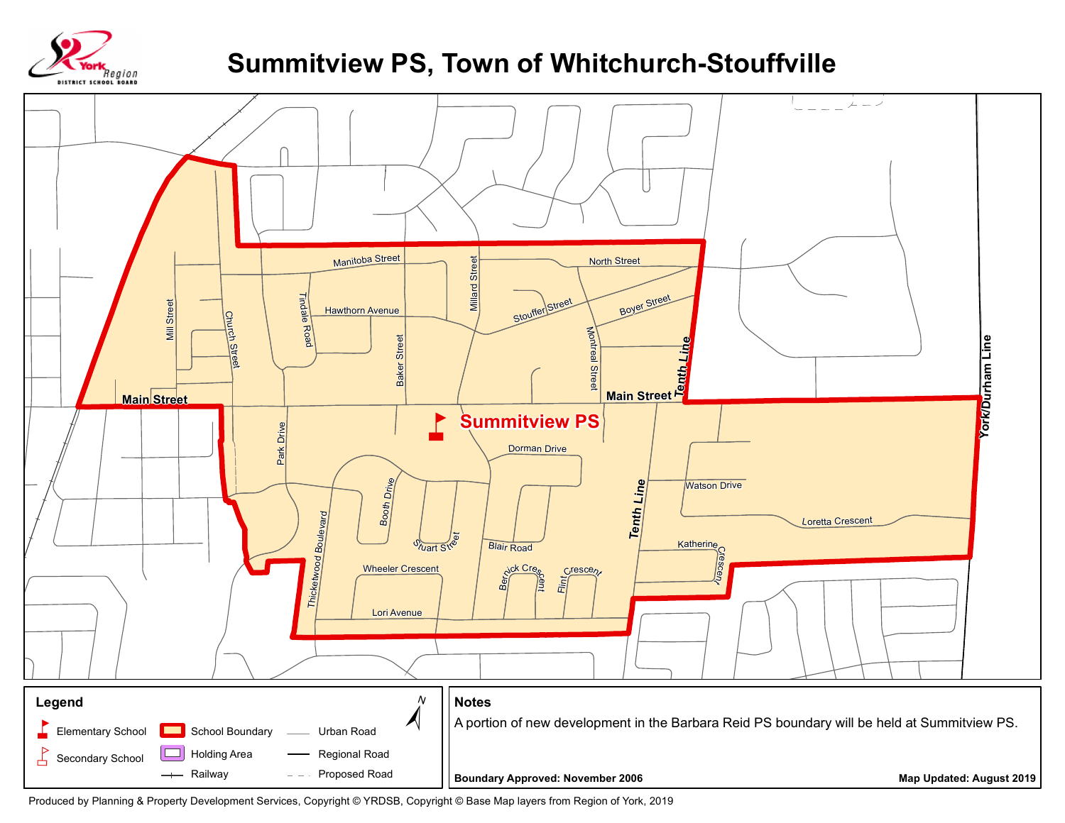

## **Summitview PS, Town of Whitchurch-Stouffville**



Produced by Planning & Property Development Services, Copyright © YRDSB, Copyright © Base Map layers from Region of York, 2019